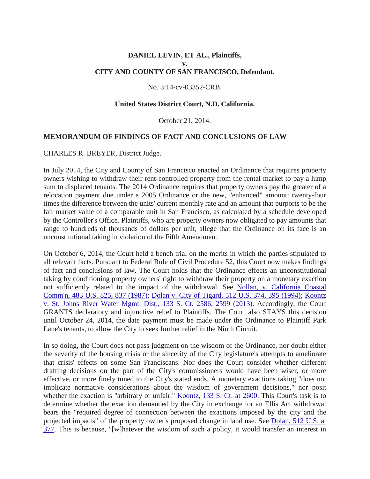### **DANIEL LEVIN, ET AL., Plaintiffs, v. CITY AND COUNTY OF SAN FRANCISCO, Defendant.**

#### No. 3:14-cv-03352-CRB.

#### **United States District Court, N.D. California.**

#### October 21, 2014.

#### **MEMORANDUM OF FINDINGS OF FACT AND CONCLUSIONS OF LAW**

#### CHARLES R. BREYER, District Judge.

In July 2014, the City and County of San Francisco enacted an Ordinance that requires property owners wishing to withdraw their rent-controlled property from the rental market to pay a lump sum to displaced tenants. The 2014 Ordinance requires that property owners pay the greater of a relocation payment due under a 2005 Ordinance or the new, "enhanced" amount: twenty-four times the difference between the units' current monthly rate and an amount that purports to be the fair market value of a comparable unit in San Francisco, as calculated by a schedule developed by the Controller's Office. Plaintiffs, who are property owners now obligated to pay amounts that range to hundreds of thousands of dollars per unit, allege that the Ordinance on its face is an unconstitutional taking in violation of the Fifth Amendment.

On October 6, 2014, the Court held a bench trial on the merits in which the parties stipulated to all relevant facts. Pursuant to Federal Rule of Civil Procedure 52, this Court now makes findings of fact and conclusions of law. The Court holds that the Ordinance effects an unconstitutional taking by conditioning property owners' right to withdraw their property on a monetary exaction not sufficiently related to the impact of the withdrawal. See [Nollan, v. California Coastal](http://scholar.google.com/scholar_case?case=10841693014473793601&hl=en&as_sdt=2006&as_vis=1)  [Comm'n, 483 U.S. 825, 837 \(1987\);](http://scholar.google.com/scholar_case?case=10841693014473793601&hl=en&as_sdt=2006&as_vis=1) [Dolan v. City of Tigard, 512 U.S. 374, 395 \(1994\);](http://scholar.google.com/scholar_case?case=8551511773686011796&hl=en&as_sdt=2006&as_vis=1) [Koontz](http://scholar.google.com/scholar_case?case=7062962536363873641&hl=en&as_sdt=2006&as_vis=1)  [v. St. Johns River Water Mgmt. Dist., 133 S. Ct. 2586, 2599 \(2013\).](http://scholar.google.com/scholar_case?case=7062962536363873641&hl=en&as_sdt=2006&as_vis=1) Accordingly, the Court GRANTS declaratory and injunctive relief to Plaintiffs. The Court also STAYS this decision until October 24, 2014, the date payment must be made under the Ordinance to Plaintiff Park Lane's tenants, to allow the City to seek further relief in the Ninth Circuit.

In so doing, the Court does not pass judgment on the wisdom of the Ordinance, nor doubt either the severity of the housing crisis or the sincerity of the City legislature's attempts to ameliorate that crisis' effects on some San Franciscans. Nor does the Court consider whether different drafting decisions on the part of the City's commissioners would have been wiser, or more effective, or more finely tuned to the City's stated ends. A monetary exactions taking "does not implicate normative considerations about the wisdom of government decisions," nor posit whether the exaction is "arbitrary or unfair." [Koontz, 133 S. Ct. at 2600.](http://scholar.google.com/scholar_case?case=7062962536363873641&hl=en&as_sdt=2006&as_vis=1) This Court's task is to determine whether the exaction demanded by the City in exchange for an Ellis Act withdrawal bears the "required degree of connection between the exactions imposed by the city and the projected impacts" of the property owner's proposed change in land use. See [Dolan, 512 U.S. at](http://scholar.google.com/scholar_case?case=8551511773686011796&hl=en&as_sdt=2006&as_vis=1)  [377.](http://scholar.google.com/scholar_case?case=8551511773686011796&hl=en&as_sdt=2006&as_vis=1) This is because, "[w]hatever the wisdom of such a policy, it would transfer an interest in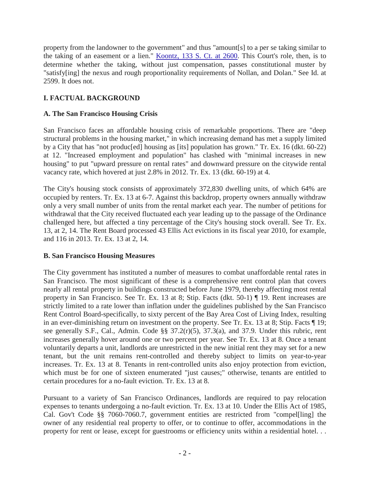property from the landowner to the government" and thus "amount[s] to a per se taking similar to the taking of an easement or a lien." [Koontz, 133 S. Ct. at 2600.](http://scholar.google.com/scholar_case?case=7062962536363873641&hl=en&as_sdt=2006&as_vis=1) This Court's role, then, is to determine whether the taking, without just compensation, passes constitutional muster by "satisfy[ing] the nexus and rough proportionality requirements of Nollan, and Dolan." See Id. at 2599. It does not.

# **I. FACTUAL BACKGROUND**

# **A. The San Francisco Housing Crisis**

San Francisco faces an affordable housing crisis of remarkable proportions. There are "deep structural problems in the housing market," in which increasing demand has met a supply limited by a City that has "not produc[ed] housing as [its] population has grown." Tr. Ex. 16 (dkt. 60-22) at 12. "Increased employment and population" has clashed with "minimal increases in new housing" to put "upward pressure on rental rates" and downward pressure on the citywide rental vacancy rate, which hovered at just 2.8% in 2012. Tr. Ex. 13 (dkt. 60-19) at 4.

The City's housing stock consists of approximately 372,830 dwelling units, of which 64% are occupied by renters. Tr. Ex. 13 at 6-7. Against this backdrop, property owners annually withdraw only a very small number of units from the rental market each year. The number of petitions for withdrawal that the City received fluctuated each year leading up to the passage of the Ordinance challenged here, but affected a tiny percentage of the City's housing stock overall. See Tr. Ex. 13, at 2, 14. The Rent Board processed 43 Ellis Act evictions in its fiscal year 2010, for example, and 116 in 2013. Tr. Ex. 13 at 2, 14.

# **B. San Francisco Housing Measures**

The City government has instituted a number of measures to combat unaffordable rental rates in San Francisco. The most significant of these is a comprehensive rent control plan that covers nearly all rental property in buildings constructed before June 1979, thereby affecting most rental property in San Francisco. See Tr. Ex. 13 at 8; Stip. Facts (dkt. 50-1) ¶ 19. Rent increases are strictly limited to a rate lower than inflation under the guidelines published by the San Francisco Rent Control Board-specifically, to sixty percent of the Bay Area Cost of Living Index, resulting in an ever-diminishing return on investment on the property. See Tr. Ex. 13 at 8; Stip. Facts ¶ 19; see generally S.F., Cal., Admin. Code §§ 37.2(r)(5), 37.3(a), and 37.9. Under this rubric, rent increases generally hover around one or two percent per year. See Tr. Ex. 13 at 8. Once a tenant voluntarily departs a unit, landlords are unrestricted in the new initial rent they may set for a new tenant, but the unit remains rent-controlled and thereby subject to limits on year-to-year increases. Tr. Ex. 13 at 8. Tenants in rent-controlled units also enjoy protection from eviction, which must be for one of sixteen enumerated "just causes;" otherwise, tenants are entitled to certain procedures for a no-fault eviction. Tr. Ex. 13 at 8.

Pursuant to a variety of San Francisco Ordinances, landlords are required to pay relocation expenses to tenants undergoing a no-fault eviction. Tr. Ex. 13 at 10. Under the Ellis Act of 1985, Cal. Gov't Code §§ 7060-7060.7, government entities are restricted from "compel[ling] the owner of any residential real property to offer, or to continue to offer, accommodations in the property for rent or lease, except for guestrooms or efficiency units within a residential hotel. . .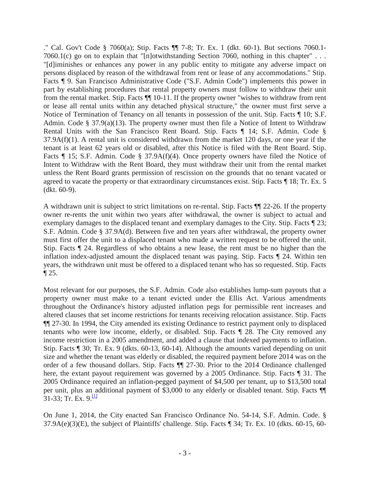." Cal. Gov't Code § 7060(a); Stip. Facts ¶¶ 7-8; Tr. Ex. 1 (dkt. 60-1). But sections 7060.1- 7060.1(c) go on to explain that "[n]otwithstanding Section 7060, nothing in this chapter" . . . "[d]iminishes or enhances any power in any public entity to mitigate any adverse impact on persons displaced by reason of the withdrawal from rent or lease of any accommodations." Stip. Facts ¶ 9. San Francisco Administrative Code ("S.F. Admin Code") implements this power in part by establishing procedures that rental property owners must follow to withdraw their unit from the rental market. Stip. Facts ¶¶ 10-11. If the property owner "wishes to withdraw from rent or lease all rental units within any detached physical structure," the owner must first serve a Notice of Termination of Tenancy on all tenants in possession of the unit. Stip. Facts ¶ 10; S.F. Admin. Code § 37.9(a)(13). The property owner must then file a Notice of Intent to Withdraw Rental Units with the San Francisco Rent Board. Stip. Facts ¶ 14; S.F. Admin. Code §  $37.9A(f)(1)$ . A rental unit is considered withdrawn from the market 120 days, or one year if the tenant is at least 62 years old or disabled, after this Notice is filed with the Rent Board. Stip. Facts ¶ 15; S.F. Admin. Code § 37.9A(f)(4). Once property owners have filed the Notice of Intent to Withdraw with the Rent Board, they must withdraw their unit from the rental market unless the Rent Board grants permission of rescission on the grounds that no tenant vacated or agreed to vacate the property or that extraordinary circumstances exist. Stip. Facts ¶ 18; Tr. Ex. 5 (dkt. 60-9).

A withdrawn unit is subject to strict limitations on re-rental. Stip. Facts ¶¶ 22-26. If the property owner re-rents the unit within two years after withdrawal, the owner is subject to actual and exemplary damages to the displaced tenant and exemplary damages to the City. Stip. Facts ¶ 23; S.F. Admin. Code § 37.9A(d). Between five and ten years after withdrawal, the property owner must first offer the unit to a displaced tenant who made a written request to be offered the unit. Stip. Facts ¶ 24. Regardless of who obtains a new lease, the rent must be no higher than the inflation index-adjusted amount the displaced tenant was paying. Stip. Facts ¶ 24. Within ten years, the withdrawn unit must be offered to a displaced tenant who has so requested. Stip. Facts ¶ 25.

Most relevant for our purposes, the S.F. Admin. Code also establishes lump-sum payouts that a property owner must make to a tenant evicted under the Ellis Act. Various amendments throughout the Ordinance's history adjusted inflation pegs for permissible rent increases and altered clauses that set income restrictions for tenants receiving relocation assistance. Stip. Facts ¶¶ 27-30. In 1994, the City amended its existing Ordinance to restrict payment only to displaced tenants who were low income, elderly, or disabled. Stip. Facts ¶ 28. The City removed any income restriction in a 2005 amendment, and added a clause that indexed payments to inflation. Stip. Facts ¶ 30; Tr. Ex. 9 (dkts. 60-13, 60-14). Although the amounts varied depending on unit size and whether the tenant was elderly or disabled, the required payment before 2014 was on the order of a few thousand dollars. Stip. Facts ¶¶ 27-30. Prior to the 2014 Ordinance challenged here, the extant payout requirement was governed by a 2005 Ordinance. Stip. Facts ¶ 31. The 2005 Ordinance required an inflation-pegged payment of \$4,500 per tenant, up to \$13,500 total per unit, plus an additional payment of \$3,000 to any elderly or disabled tenant. Stip. Facts ¶¶  $31-33$ ; Tr. Ex.  $9$ .<sup>[1]</sup>

On June 1, 2014, the City enacted San Francisco Ordinance No. 54-14, S.F. Admin. Code. § 37.9A(e)(3)(E), the subject of Plaintiffs' challenge. Stip. Facts ¶ 34; Tr. Ex. 10 (dkts. 60-15, 60-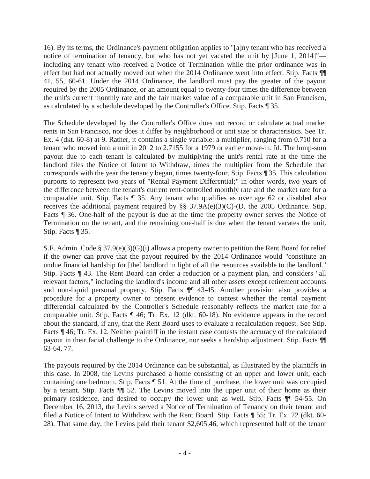16). By its terms, the Ordinance's payment obligation applies to "[a]ny tenant who has received a notice of termination of tenancy, but who has not yet vacated the unit by [June 1, 2014]" including any tenant who received a Notice of Termination while the prior ordinance was in effect but had not actually moved out when the 2014 Ordinance went into effect. Stip. Facts ¶¶ 41, 55, 60-61. Under the 2014 Ordinance, the landlord must pay the greater of the payout required by the 2005 Ordinance, or an amount equal to twenty-four times the difference between the unit's current monthly rate and the fair market value of a comparable unit in San Francisco, as calculated by a schedule developed by the Controller's Office. Stip. Facts ¶ 35.

The Schedule developed by the Controller's Office does not record or calculate actual market rents in San Francisco, nor does it differ by neighborhood or unit size or characteristics. See Tr. Ex. 4 (dkt. 60-8) at 9. Rather, it contains a single variable: a multiplier, ranging from 0.710 for a tenant who moved into a unit in 2012 to 2.7155 for a 1979 or earlier move-in. Id. The lump-sum payout due to each tenant is calculated by multiplying the unit's rental rate at the time the landlord files the Notice of Intent to Withdraw, times the multiplier from the Schedule that corresponds with the year the tenancy began, times twenty-four. Stip. Facts ¶ 35. This calculation purports to represent two years of "Rental Payment Differential;" in other words, two years of the difference between the tenant's current rent-controlled monthly rate and the market rate for a comparable unit. Stip. Facts ¶ 35. Any tenant who qualifies as over age 62 or disabled also receives the additional payment required by §§ 37.9A(e)(3)(C)-(D. the 2005 Ordinance. Stip. Facts  $\parallel$  36. One-half of the payout is due at the time the property owner serves the Notice of Termination on the tenant, and the remaining one-half is due when the tenant vacates the unit. Stip. Facts ¶ 35.

S.F. Admin. Code § 37.9(e)(3)(G)(i) allows a property owner to petition the Rent Board for relief if the owner can prove that the payout required by the 2014 Ordinance would "constitute an undue financial hardship for [the] landlord in light of all the resources available to the landlord." Stip. Facts ¶ 43. The Rent Board can order a reduction or a payment plan, and considers "all relevant factors," including the landlord's income and all other assets except retirement accounts and non-liquid personal property. Stip. Facts ¶¶ 43-45. Another provision also provides a procedure for a property owner to present evidence to contest whether the rental payment differential calculated by the Controller's Schedule reasonably reflects the market rate for a comparable unit. Stip. Facts ¶ 46; Tr. Ex. 12 (dkt. 60-18). No evidence appears in the record about the standard, if any, that the Rent Board uses to evaluate a recalculation request. See Stip. Facts ¶ 46; Tr. Ex. 12. Neither plaintiff in the instant case contests the accuracy of the calculated payout in their facial challenge to the Ordinance, nor seeks a hardship adjustment. Stip. Facts ¶¶ 63-64, 77.

The payouts required by the 2014 Ordinance can be substantial, as illustrated by the plaintiffs in this case. In 2008, the Levins purchased a home consisting of an upper and lower unit, each containing one bedroom. Stip. Facts ¶ 51. At the time of purchase, the lower unit was occupied by a tenant. Stip. Facts ¶¶ 52. The Levins moved into the upper unit of their home as their primary residence, and desired to occupy the lower unit as well. Stip. Facts ¶¶ 54-55. On December 16, 2013, the Levins served a Notice of Termination of Tenancy on their tenant and filed a Notice of Intent to Withdraw with the Rent Board. Stip. Facts ¶ 55; Tr. Ex. 22 (dkt. 60- 28). That same day, the Levins paid their tenant \$2,605.46, which represented half of the tenant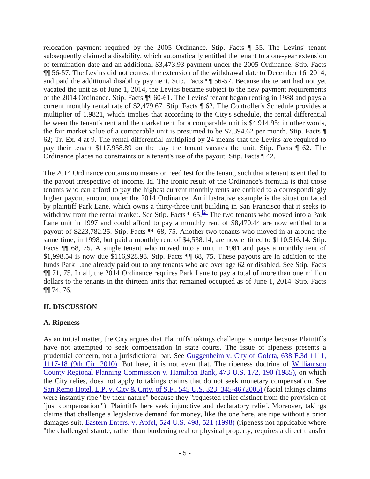relocation payment required by the 2005 Ordinance. Stip. Facts ¶ 55. The Levins' tenant subsequently claimed a disability, which automatically entitled the tenant to a one-year extension of termination date and an additional \$3,473.93 payment under the 2005 Ordinance. Stip. Facts ¶¶ 56-57. The Levins did not contest the extension of the withdrawal date to December 16, 2014, and paid the additional disability payment. Stip. Facts ¶¶ 56-57. Because the tenant had not yet vacated the unit as of June 1, 2014, the Levins became subject to the new payment requirements of the 2014 Ordinance. Stip. Facts ¶¶ 60-61. The Levins' tenant began renting in 1988 and pays a current monthly rental rate of \$2,479.67. Stip. Facts ¶ 62. The Controller's Schedule provides a multiplier of 1.9821, which implies that according to the City's schedule, the rental differential between the tenant's rent and the market rent for a comparable unit is \$4,914.95; in other words, the fair market value of a comparable unit is presumed to be \$7,394.62 per month. Stip. Facts ¶ 62; Tr. Ex. 4 at 9. The rental differential multiplied by 24 means that the Levins are required to pay their tenant \$117,958.89 on the day the tenant vacates the unit. Stip. Facts ¶ 62. The Ordinance places no constraints on a tenant's use of the payout. Stip. Facts ¶ 42.

The 2014 Ordinance contains no means or need test for the tenant, such that a tenant is entitled to the payout irrespective of income. Id. The ironic result of the Ordinance's formula is that those tenants who can afford to pay the highest current monthly rents are entitled to a correspondingly higher payout amount under the 2014 Ordinance. An illustrative example is the situation faced by plaintiff Park Lane, which owns a thirty-three unit building in San Francisco that it seeks to withdraw from the rental market. See Stip. Facts  $\P$  65.<sup>[2]</sup> The two tenants who moved into a Park Lane unit in 1997 and could afford to pay a monthly rent of \$8,470.44 are now entitled to a payout of \$223,782.25. Stip. Facts ¶¶ 68, 75. Another two tenants who moved in at around the same time, in 1998, but paid a monthly rent of \$4,538.14, are now entitled to \$110,516.14. Stip. Facts  $\P$  68, 75. A single tenant who moved into a unit in 1981 and pays a monthly rent of \$1,998.54 is now due \$116,928.98. Stip. Facts ¶¶ 68, 75. These payouts are in addition to the funds Park Lane already paid out to any tenants who are over age 62 or disabled. See Stip. Facts ¶¶ 71, 75. In all, the 2014 Ordinance requires Park Lane to pay a total of more than one million dollars to the tenants in the thirteen units that remained occupied as of June 1, 2014. Stip. Facts ¶¶ 74, 76.

# **II. DISCUSSION**

#### **A. Ripeness**

As an initial matter, the City argues that Plaintiffs' takings challenge is unripe because Plaintiffs have not attempted to seek compensation in state courts. The issue of ripeness presents a prudential concern, not a jurisdictional bar. See Guggenheim v. City [of Goleta, 638 F.3d 1111,](http://scholar.google.com/scholar_case?case=9489887856683067206&hl=en&as_sdt=2006&as_vis=1)  [1117-18 \(9th Cir. 2010\).](http://scholar.google.com/scholar_case?case=9489887856683067206&hl=en&as_sdt=2006&as_vis=1) But here, it is not even that. The ripeness doctrine of [Williamson](http://scholar.google.com/scholar_case?case=13419993688733265381&hl=en&as_sdt=2006&as_vis=1)  [County Regional Planning Commission v. Hamilton Bank, 473 U.S. 172, 190 \(1985\),](http://scholar.google.com/scholar_case?case=13419993688733265381&hl=en&as_sdt=2006&as_vis=1) on which the City relies, does not apply to takings claims that do not seek monetary compensation. See [San Remo Hotel, L.P. v. City & Cnty. of S.F., 545 U.S. 323, 345-46 \(2005\)](http://scholar.google.com/scholar_case?case=8630312865230925010&hl=en&as_sdt=2006&as_vis=1) (facial takings claims were instantly ripe "by their nature" because they "requested relief distinct from the provision of `just compensation'"). Plaintiffs here seek injunctive and declaratory relief. Moreover, takings claims that challenge a legislative demand for money, like the one here, are ripe without a prior damages suit. [Eastern Enters. v. Apfel, 524 U.S. 498, 521 \(1998\)](http://scholar.google.com/scholar_case?case=4108513345952432750&hl=en&as_sdt=2006&as_vis=1) (ripeness not applicable where "the challenged statute, rather than burdening real or physical property, requires a direct transfer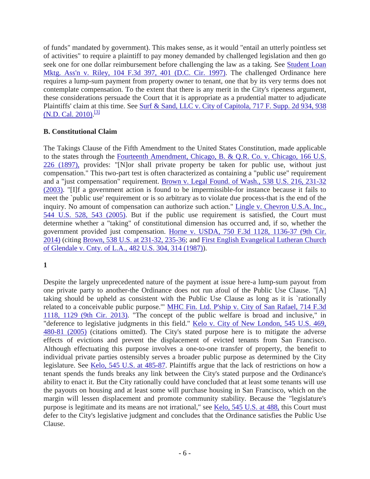of funds" mandated by government). This makes sense, as it would "entail an utterly pointless set of activities" to require a plaintiff to pay money demanded by challenged legislation and then go seek one for one dollar reimbursement before challenging the law as a taking. See [Student Loan](http://scholar.google.com/scholar_case?case=4099309844605706450&hl=en&as_sdt=2006&as_vis=1)  [Mktg. Ass'n v. Riley, 104 F.3d 397, 401 \(D.C. Cir. 1997\).](http://scholar.google.com/scholar_case?case=4099309844605706450&hl=en&as_sdt=2006&as_vis=1) The challenged Ordinance here requires a lump-sum payment from property owner to tenant, one that by its very terms does not contemplate compensation. To the extent that there is any merit in the City's ripeness argument, these considerations persuade the Court that it is appropriate as a prudential matter to adjudicate Plaintiffs' claim at this time. See [Surf & Sand, LLC v. City of Capitola, 717 F. Supp. 2d 934, 938](http://scholar.google.com/scholar_case?case=4180214287235221899&hl=en&as_sdt=2006&as_vis=1)  [\(N.D. Cal. 2010\).](http://scholar.google.com/scholar_case?case=4180214287235221899&hl=en&as_sdt=2006&as_vis=1)<sup>[\[3\]](http://scholar.google.com/scholar_case?case=18197810633286893317&hl=en&as_sdt=6&as_vis=1&oi=scholarr#[3])</sup>

# **B. Constitutional Claim**

The Takings Clause of the Fifth Amendment to the United States Constitution, made applicable to the states through the [Fourteenth Amendment, Chicago, B. & Q.R. Co. v. Chicago, 166 U.S.](http://scholar.google.com/scholar_case?case=15094341875153306384&hl=en&as_sdt=2006&as_vis=1)  [226 \(1897\),](http://scholar.google.com/scholar_case?case=15094341875153306384&hl=en&as_sdt=2006&as_vis=1) provides: "[N]or shall private property be taken for public use, without just compensation." This two-part test is often characterized as containing a "public use" requirement and a "just compensation" requirement. [Brown v. Legal Found. of Wash., 538 U.S. 216, 231-32](http://scholar.google.com/scholar_case?case=8317575751151763804&hl=en&as_sdt=2006&as_vis=1)  [\(2003\).](http://scholar.google.com/scholar_case?case=8317575751151763804&hl=en&as_sdt=2006&as_vis=1) "[I]f a government action is found to be impermissible-for instance because it fails to meet the `public use' requirement or is so arbitrary as to violate due process-that is the end of the inquiry. No amount of compensation can authorize such action." [Lingle v. Chevron U.S.A. Inc.,](http://scholar.google.com/scholar_case?case=6222089460041367198&hl=en&as_sdt=2006&as_vis=1)  [544 U.S. 528, 543 \(2005\).](http://scholar.google.com/scholar_case?case=6222089460041367198&hl=en&as_sdt=2006&as_vis=1) But if the public use requirement is satisfied, the Court must determine whether a "taking" of constitutional dimension has occurred and, if so, whether the government provided just compensation. [Horne v. USDA, 750 F.3d 1128, 1136-37 \(9th Cir.](http://scholar.google.com/scholar_case?case=1727581745917629963&hl=en&as_sdt=2006&as_vis=1)  [2014\)](http://scholar.google.com/scholar_case?case=1727581745917629963&hl=en&as_sdt=2006&as_vis=1) (citing [Brown, 538 U.S. at 231-32, 235-36;](http://scholar.google.com/scholar_case?case=8317575751151763804&hl=en&as_sdt=2006&as_vis=1) and [First English Evangelical Lutheran Church](http://scholar.google.com/scholar_case?case=5858523458892549380&hl=en&as_sdt=2006&as_vis=1)  [of Glendale v. Cnty. of L.A., 482 U.S. 304, 314 \(1987\)\)](http://scholar.google.com/scholar_case?case=5858523458892549380&hl=en&as_sdt=2006&as_vis=1).

# **1**

Despite the largely unprecedented nature of the payment at issue here-a lump-sum payout from one private party to another-the Ordinance does not run afoul of the Public Use Clause. "[A] taking should be upheld as consistent with the Public Use Clause as long as it is `rationally related to a conceivable public purpose.'" [MHC Fin. Ltd. P'ship v. City of San Rafael, 714 F.3d](http://scholar.google.com/scholar_case?case=11586889253368885245&hl=en&as_sdt=2006&as_vis=1)  [1118, 1129 \(9th Cir. 2013\).](http://scholar.google.com/scholar_case?case=11586889253368885245&hl=en&as_sdt=2006&as_vis=1) "The concept of the public welfare is broad and inclusive," in "deference to legislative judgments in this field." [Kelo v. City of New London, 545 U.S. 469,](http://scholar.google.com/scholar_case?case=1101424605047973909&hl=en&as_sdt=2006&as_vis=1)  [480-81 \(2005\)](http://scholar.google.com/scholar_case?case=1101424605047973909&hl=en&as_sdt=2006&as_vis=1) (citations omitted). The City's stated purpose here is to mitigate the adverse effects of evictions and prevent the displacement of evicted tenants from San Francisco. Although effectuating this purpose involves a one-to-one transfer of property, the benefit to individual private parties ostensibly serves a broader public purpose as determined by the City legislature. See [Kelo, 545 U.S. at 485-87.](http://scholar.google.com/scholar_case?case=1101424605047973909&hl=en&as_sdt=2006&as_vis=1) Plaintiffs argue that the lack of restrictions on how a tenant spends the funds breaks any link between the City's stated purpose and the Ordinance's ability to enact it. But the City rationally could have concluded that at least some tenants will use the payouts on housing and at least some will purchase housing in San Francisco, which on the margin will lessen displacement and promote community stability. Because the "legislature's purpose is legitimate and its means are not irrational," see [Kelo, 545 U.S. at 488,](http://scholar.google.com/scholar_case?case=1101424605047973909&hl=en&as_sdt=2006&as_vis=1) this Court must defer to the City's legislative judgment and concludes that the Ordinance satisfies the Public Use Clause.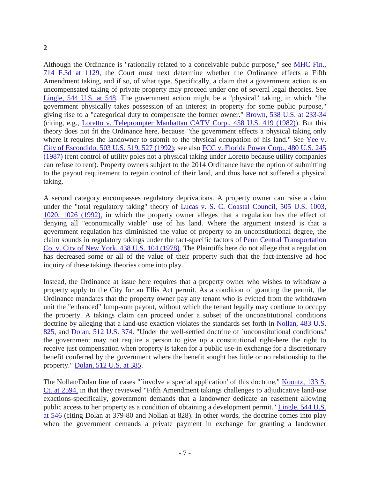### **2**

Although the Ordinance is "rationally related to a conceivable public purpose," see [MHC Fin.,](http://scholar.google.com/scholar_case?case=11586889253368885245&hl=en&as_sdt=2006&as_vis=1)  [714 F.3d at 1129,](http://scholar.google.com/scholar_case?case=11586889253368885245&hl=en&as_sdt=2006&as_vis=1) the Court must next determine whether the Ordinance effects a Fifth Amendment taking, and if so, of what type. Specifically, a claim that a government action is an uncompensated taking of private property may proceed under one of several legal theories. See [Lingle, 544 U.S. at](http://scholar.google.com/scholar_case?case=6222089460041367198&hl=en&as_sdt=2006&as_vis=1) 548. The government action might be a "physical" taking, in which "the government physically takes possession of an interest in property for some public purpose," giving rise to a "categorical duty to compensate the former owner." [Brown, 538 U.S. at 233-34](http://scholar.google.com/scholar_case?case=8317575751151763804&hl=en&as_sdt=2006&as_vis=1) (citing, e.g., [Loretto v. Teleprompter Manhattan CATV Corp., 458 U.S. 419 \(1982\)\)](http://scholar.google.com/scholar_case?case=5029480404868010518&hl=en&as_sdt=2006&as_vis=1). But this theory does not fit the Ordinance here, because "the government effects a physical taking only where it requires the landowner to submit to the physical occupation of his land." See Yee v. [City of Escondido, 503 U.S. 519, 527 \(1992\);](http://scholar.google.com/scholar_case?case=11117308571687389252&hl=en&as_sdt=2006&as_vis=1) see also [FCC v. Florida Power Corp., 480 U.S. 245](http://scholar.google.com/scholar_case?case=4493062035770712954&hl=en&as_sdt=2006&as_vis=1)  [\(1987\)](http://scholar.google.com/scholar_case?case=4493062035770712954&hl=en&as_sdt=2006&as_vis=1) (rent control of utility poles not a physical taking under Loretto because utility companies can refuse to rent). Property owners subject to the 2014 Ordinance have the option of submitting to the payout requirement to regain control of their land, and thus have not suffered a physical taking.

A second category encompasses regulatory deprivations. A property owner can raise a claim under the "total regulatory taking" theory of [Lucas v. S. C. Coastal Council, 505 U.S. 1003,](http://scholar.google.com/scholar_case?case=659168721517750079&hl=en&as_sdt=2006&as_vis=1)  [1020, 1026 \(1992\),](http://scholar.google.com/scholar_case?case=659168721517750079&hl=en&as_sdt=2006&as_vis=1) in which the property owner alleges that a regulation has the effect of denying all "economically viable" use of his land. Where the argument instead is that a government regulation has diminished the value of property to an unconstitutional degree, the claim sounds in regulatory takings under the fact-specific factors of [Penn Central Transportation](http://scholar.google.com/scholar_case?case=16963280698452399899&hl=en&as_sdt=2006&as_vis=1)  [Co. v. City of New York, 438 U.S. 104 \(1978\).](http://scholar.google.com/scholar_case?case=16963280698452399899&hl=en&as_sdt=2006&as_vis=1) The Plaintiffs here do not allege that a regulation has decreased some or all of the value of their property such that the fact-intensive ad hoc inquiry of these takings theories come into play.

Instead, the Ordinance at issue here requires that a property owner who wishes to withdraw a property apply to the City for an Ellis Act permit. As a condition of granting the permit, the Ordinance mandates that the property owner pay any tenant who is evicted from the withdrawn unit the "enhanced" lump-sum payout, without which the tenant legally may continue to occupy the property. A takings claim can proceed under a subset of the unconstitutional conditions doctrine by alleging that a land-use exaction violates the standards set forth in [Nollan, 483 U.S.](http://scholar.google.com/scholar_case?case=10841693014473793601&hl=en&as_sdt=2006&as_vis=1)  [825,](http://scholar.google.com/scholar_case?case=10841693014473793601&hl=en&as_sdt=2006&as_vis=1) and [Dolan, 512 U.S. 374.](http://scholar.google.com/scholar_case?case=8551511773686011796&hl=en&as_sdt=2006&as_vis=1) "Under the well-settled doctrine of `unconstitutional conditions,' the government may not require a person to give up a constitutional right-here the right to receive just compensation when property is taken for a public use-in exchange for a discretionary benefit conferred by the government where the benefit sought has little or no relationship to the property." [Dolan, 512 U.S. at 385.](http://scholar.google.com/scholar_case?case=8551511773686011796&hl=en&as_sdt=2006&as_vis=1)

The Nollan/Dolan line of cases "`involve a special application' of this doctrine," [Koontz, 133 S.](http://scholar.google.com/scholar_case?case=7062962536363873641&hl=en&as_sdt=2006&as_vis=1)  [Ct. at 2594,](http://scholar.google.com/scholar_case?case=7062962536363873641&hl=en&as_sdt=2006&as_vis=1) in that they reviewed "Fifth Amendment takings challenges to adjudicative land-use exactions-specifically, government demands that a landowner dedicate an easement allowing public access to her property as a condition of obtaining a development permit." [Lingle, 544 U.S.](http://scholar.google.com/scholar_case?case=6222089460041367198&hl=en&as_sdt=2006&as_vis=1)  [at 546](http://scholar.google.com/scholar_case?case=6222089460041367198&hl=en&as_sdt=2006&as_vis=1) (citing Dolan at 379-80 and Nollan at 828). In other words, the doctrine comes into play when the government demands a private payment in exchange for granting a landowner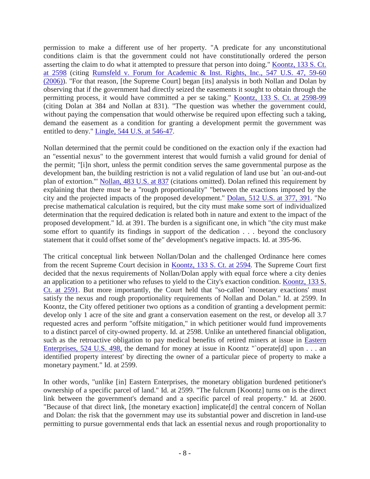permission to make a different use of her property. "A predicate for any unconstitutional conditions claim is that the government could not have constitutionally ordered the person asserting the claim to do what it attempted to pressure that person into doing." [Koontz, 133 S. Ct.](http://scholar.google.com/scholar_case?case=7062962536363873641&hl=en&as_sdt=2006&as_vis=1)  [at 2598](http://scholar.google.com/scholar_case?case=7062962536363873641&hl=en&as_sdt=2006&as_vis=1) (citing [Rumsfeld v. Forum for Academic & Inst. Rights, Inc., 547 U.S. 47, 59-60](http://scholar.google.com/scholar_case?case=3881292757575809578&hl=en&as_sdt=2006&as_vis=1)  [\(2006\)\)](http://scholar.google.com/scholar_case?case=3881292757575809578&hl=en&as_sdt=2006&as_vis=1). "For that reason, [the Supreme Court] began [its] analysis in both Nollan and Dolan by observing that if the government had directly seized the easements it sought to obtain through the permitting process, it would have committed a per se taking." [Koontz, 133 S. Ct. at 2598-99](http://scholar.google.com/scholar_case?case=7062962536363873641&hl=en&as_sdt=2006&as_vis=1) (citing Dolan at 384 and Nollan at 831). "The question was whether the government could, without paying the compensation that would otherwise be required upon effecting such a taking, demand the easement as a condition for granting a development permit the government was entitled to deny." [Lingle, 544 U.S. at 546-47.](http://scholar.google.com/scholar_case?case=6222089460041367198&hl=en&as_sdt=2006&as_vis=1)

Nollan determined that the permit could be conditioned on the exaction only if the exaction had an "essential nexus" to the government interest that would furnish a valid ground for denial of the permit; "[i]n short, unless the permit condition serves the same governmental purpose as the development ban, the building restriction is not a valid regulation of land use but `an out-and-out plan of extortion.'" [Nollan, 483 U.S. at 837](http://scholar.google.com/scholar_case?case=10841693014473793601&hl=en&as_sdt=2006&as_vis=1) (citations omitted). Dolan refined this requirement by explaining that there must be a "rough proportionality" "between the exactions imposed by the city and the projected impacts of the proposed development." [Dolan, 512 U.S. at 377, 391.](http://scholar.google.com/scholar_case?case=8551511773686011796&hl=en&as_sdt=2006&as_vis=1) "No precise mathematical calculation is required, but the city must make some sort of individualized determination that the required dedication is related both in nature and extent to the impact of the proposed development." Id. at 391. The burden is a significant one, in which "the city must make some effort to quantify its findings in support of the dedication . . . beyond the conclusory statement that it could offset some of the" development's negative impacts. Id. at 395-96.

The critical conceptual link between Nollan/Dolan and the challenged Ordinance here comes from the recent Supreme Court decision in [Koontz, 133 S. Ct. at 2594.](http://scholar.google.com/scholar_case?case=7062962536363873641&hl=en&as_sdt=2006&as_vis=1) The Supreme Court first decided that the nexus requirements of Nollan/Dolan apply with equal force where a city denies an application to a petitioner who refuses to yield to the City's exaction condition. [Koontz, 133 S.](http://scholar.google.com/scholar_case?case=7062962536363873641&hl=en&as_sdt=2006&as_vis=1)  [Ct. at 2591.](http://scholar.google.com/scholar_case?case=7062962536363873641&hl=en&as_sdt=2006&as_vis=1) But more importantly, the Court held that "so-called `monetary exactions' must satisfy the nexus and rough proportionality requirements of Nollan and Dolan." Id. at 2599. In Koontz, the City offered petitioner two options as a condition of granting a development permit: develop only 1 acre of the site and grant a conservation easement on the rest, or develop all 3.7 requested acres and perform "offsite mitigation," in which petitioner would fund improvements to a distinct parcel of city-owned property. Id. at 2598. Unlike an untethered financial obligation, such as the retroactive obligation to pay medical benefits of retired miners at issue in [Eastern](http://scholar.google.com/scholar_case?case=4108513345952432750&hl=en&as_sdt=2006&as_vis=1)  [Enterprises, 524 U.S. 498,](http://scholar.google.com/scholar_case?case=4108513345952432750&hl=en&as_sdt=2006&as_vis=1) the demand for money at issue in Koontz "`operate[d] upon  $\dots$  an identified property interest' by directing the owner of a particular piece of property to make a monetary payment." Id. at 2599.

In other words, "unlike [in] Eastern Enterprises, the monetary obligation burdened petitioner's ownership of a specific parcel of land." Id. at 2599. "The fulcrum [Koontz] turns on is the direct link between the government's demand and a specific parcel of real property." Id. at 2600. "Because of that direct link, [the monetary exaction] implicate[d] the central concern of Nollan and Dolan: the risk that the government may use its substantial power and discretion in land-use permitting to pursue governmental ends that lack an essential nexus and rough proportionality to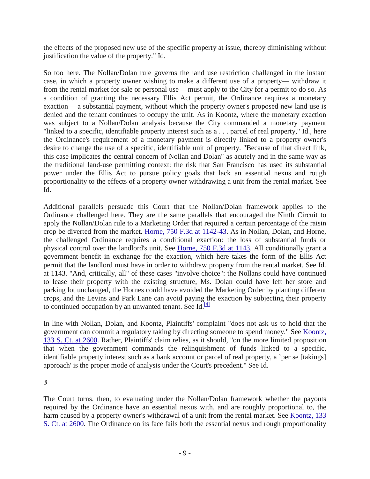the effects of the proposed new use of the specific property at issue, thereby diminishing without justification the value of the property." Id.

So too here. The Nollan/Dolan rule governs the land use restriction challenged in the instant case, in which a property owner wishing to make a different use of a property— withdraw it from the rental market for sale or personal use —must apply to the City for a permit to do so. As a condition of granting the necessary Ellis Act permit, the Ordinance requires a monetary exaction —a substantial payment, without which the property owner's proposed new land use is denied and the tenant continues to occupy the unit. As in Koontz, where the monetary exaction was subject to a Nollan/Dolan analysis because the City commanded a monetary payment "linked to a specific, identifiable property interest such as a . . . parcel of real property," Id., here the Ordinance's requirement of a monetary payment is directly linked to a property owner's desire to change the use of a specific, identifiable unit of property. "Because of that direct link, this case implicates the central concern of Nollan and Dolan" as acutely and in the same way as the traditional land-use permitting context: the risk that San Francisco has used its substantial power under the Ellis Act to pursue policy goals that lack an essential nexus and rough proportionality to the effects of a property owner withdrawing a unit from the rental market. See Id.

Additional parallels persuade this Court that the Nollan/Dolan framework applies to the Ordinance challenged here. They are the same parallels that encouraged the Ninth Circuit to apply the Nollan/Dolan rule to a Marketing Order that required a certain percentage of the raisin crop be diverted from the market. [Horne, 750 F.3d at 1142-43.](http://scholar.google.com/scholar_case?case=1727581745917629963&hl=en&as_sdt=2006&as_vis=1) As in Nollan, Dolan, and Horne, the challenged Ordinance requires a conditional exaction: the loss of substantial funds or physical control over the landlord's unit. See [Horne, 750 F.3d at 1143.](http://scholar.google.com/scholar_case?case=1727581745917629963&hl=en&as_sdt=2006&as_vis=1) All conditionally grant a government benefit in exchange for the exaction, which here takes the form of the Ellis Act permit that the landlord must have in order to withdraw property from the rental market. See Id. at 1143. "And, critically, all" of these cases "involve choice": the Nollans could have continued to lease their property with the existing structure, Ms. Dolan could have left her store and parking lot unchanged, the Hornes could have avoided the Marketing Order by planting different crops, and the Levins and Park Lane can avoid paying the exaction by subjecting their property to continued occupation by an unwanted tenant. See Id. $^{[4]}$ 

In line with Nollan, Dolan, and Koontz, Plaintiffs' complaint "does not ask us to hold that the government can commit a regulatory taking by directing someone to spend money." See [Koontz,](http://scholar.google.com/scholar_case?case=7062962536363873641&hl=en&as_sdt=2006&as_vis=1)  [133 S. Ct. at 2600.](http://scholar.google.com/scholar_case?case=7062962536363873641&hl=en&as_sdt=2006&as_vis=1) Rather, Plaintiffs' claim relies, as it should, "on the more limited proposition that when the government commands the relinquishment of funds linked to a specific, identifiable property interest such as a bank account or parcel of real property, a `per se [takings] approach' is the proper mode of analysis under the Court's precedent." See Id.

**3**

The Court turns, then, to evaluating under the Nollan/Dolan framework whether the payouts required by the Ordinance have an essential nexus with, and are roughly proportional to, the harm caused by a property owner's withdrawal of a unit from the rental market. See Koontz, 133 [S. Ct. at 2600.](http://scholar.google.com/scholar_case?case=7062962536363873641&hl=en&as_sdt=2006&as_vis=1) The Ordinance on its face fails both the essential nexus and rough proportionality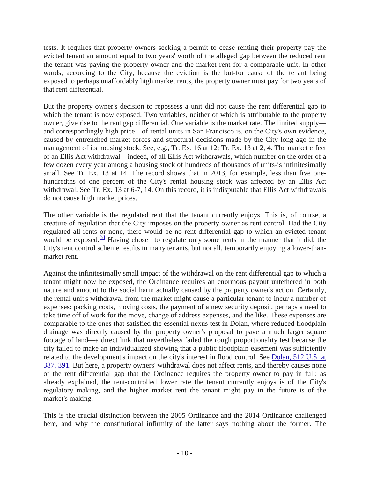tests. It requires that property owners seeking a permit to cease renting their property pay the evicted tenant an amount equal to two years' worth of the alleged gap between the reduced rent the tenant was paying the property owner and the market rent for a comparable unit. In other words, according to the City, because the eviction is the but-for cause of the tenant being exposed to perhaps unaffordably high market rents, the property owner must pay for two years of that rent differential.

But the property owner's decision to repossess a unit did not cause the rent differential gap to which the tenant is now exposed. Two variables, neither of which is attributable to the property owner, give rise to the rent gap differential. One variable is the market rate. The limited supply and correspondingly high price—of rental units in San Francisco is, on the City's own evidence, caused by entrenched market forces and structural decisions made by the City long ago in the management of its housing stock. See, e.g., Tr. Ex. 16 at 12; Tr. Ex. 13 at 2, 4. The market effect of an Ellis Act withdrawal—indeed, of all Ellis Act withdrawals, which number on the order of a few dozen every year among a housing stock of hundreds of thousands of units-is infinitesimally small. See Tr. Ex. 13 at 14. The record shows that in 2013, for example, less than five onehundredths of one percent of the City's rental housing stock was affected by an Ellis Act withdrawal. See Tr. Ex. 13 at 6-7, 14. On this record, it is indisputable that Ellis Act withdrawals do not cause high market prices.

The other variable is the regulated rent that the tenant currently enjoys. This is, of course, a creature of regulation that the City imposes on the property owner as rent control. Had the City regulated all rents or none, there would be no rent differential gap to which an evicted tenant would be exposed.<sup>[\[5\]](http://scholar.google.com/scholar_case?case=18197810633286893317&hl=en&as_sdt=6&as_vis=1&oi=scholarr#[5])</sup> Having chosen to regulate only some rents in the manner that it did, the City's rent control scheme results in many tenants, but not all, temporarily enjoying a lower-thanmarket rent.

Against the infinitesimally small impact of the withdrawal on the rent differential gap to which a tenant might now be exposed, the Ordinance requires an enormous payout untethered in both nature and amount to the social harm actually caused by the property owner's action. Certainly, the rental unit's withdrawal from the market might cause a particular tenant to incur a number of expenses: packing costs, moving costs, the payment of a new security deposit, perhaps a need to take time off of work for the move, change of address expenses, and the like. These expenses are comparable to the ones that satisfied the essential nexus test in Dolan, where reduced floodplain drainage was directly caused by the property owner's proposal to pave a much larger square footage of land—a direct link that nevertheless failed the rough proportionality test because the city failed to make an individualized showing that a public floodplain easement was sufficiently related to the development's impact on the city's interest in flood control. See [Dolan, 512 U.S. at](http://scholar.google.com/scholar_case?case=8551511773686011796&hl=en&as_sdt=2006&as_vis=1)  [387, 391.](http://scholar.google.com/scholar_case?case=8551511773686011796&hl=en&as_sdt=2006&as_vis=1) But here, a property owners' withdrawal does not affect rents, and thereby causes none of the rent differential gap that the Ordinance requires the property owner to pay in full: as already explained, the rent-controlled lower rate the tenant currently enjoys is of the City's regulatory making, and the higher market rent the tenant might pay in the future is of the market's making.

This is the crucial distinction between the 2005 Ordinance and the 2014 Ordinance challenged here, and why the constitutional infirmity of the latter says nothing about the former. The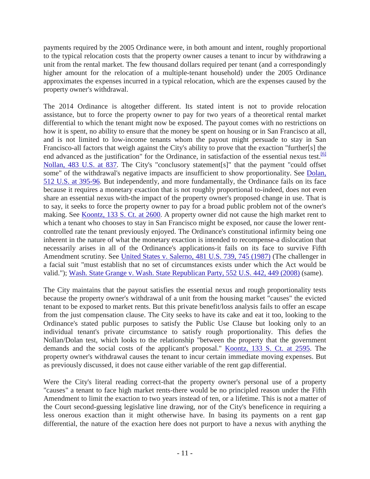payments required by the 2005 Ordinance were, in both amount and intent, roughly proportional to the typical relocation costs that the property owner causes a tenant to incur by withdrawing a unit from the rental market. The few thousand dollars required per tenant (and a correspondingly higher amount for the relocation of a multiple-tenant household) under the 2005 Ordinance approximates the expenses incurred in a typical relocation, which are the expenses caused by the property owner's withdrawal.

The 2014 Ordinance is altogether different. Its stated intent is not to provide relocation assistance, but to force the property owner to pay for two years of a theoretical rental market differential to which the tenant might now be exposed. The payout comes with no restrictions on how it is spent, no ability to ensure that the money be spent on housing or in San Francisco at all, and is not limited to low-income tenants whom the payout might persuade to stay in San Francisco-all factors that weigh against the City's ability to prove that the exaction "further[s] the end advanced as the justification" for the Ordinance, in satisfaction of the essential nexus test.<sup>[6]</sup> [Nollan, 483 U.S. at 837.](http://scholar.google.com/scholar_case?case=10841693014473793601&hl=en&as_sdt=2006&as_vis=1) The City's "conclusory statement[s]" that the payment "could offset some" of the withdrawal's negative impacts are insufficient to show proportionality. See Dolan, [512 U.S. at 395-96.](http://scholar.google.com/scholar_case?case=8551511773686011796&hl=en&as_sdt=2006&as_vis=1) But independently, and more fundamentally, the Ordinance fails on its face because it requires a monetary exaction that is not roughly proportional to-indeed, does not even share an essential nexus with-the impact of the property owner's proposed change in use. That is to say, it seeks to force the property owner to pay for a broad public problem not of the owner's making. See [Koontz, 133 S. Ct. at 2600.](http://scholar.google.com/scholar_case?case=7062962536363873641&hl=en&as_sdt=2006&as_vis=1) A property owner did not cause the high market rent to which a tenant who chooses to stay in San Francisco might be exposed, nor cause the lower rentcontrolled rate the tenant previously enjoyed. The Ordinance's constitutional infirmity being one inherent in the nature of what the monetary exaction is intended to recompense-a dislocation that necessarily arises in all of the Ordinance's applications-it fails on its face to survive Fifth Amendment scrutiny. See [United States v. Salerno, 481 U.S. 739, 745 \(1987\)](http://scholar.google.com/scholar_case?case=5741581181224640770&hl=en&as_sdt=2006&as_vis=1) (The challenger in a facial suit "must establish that no set of circumstances exists under which the Act would be valid."); [Wash. State Grange v. Wash. State Republican Party, 552 U.S. 442, 449 \(2008\)](http://scholar.google.com/scholar_case?case=8991534343231697057&hl=en&as_sdt=2006&as_vis=1) (same).

The City maintains that the payout satisfies the essential nexus and rough proportionality tests because the property owner's withdrawal of a unit from the housing market "causes" the evicted tenant to be exposed to market rents. But this private benefit/loss analysis fails to offer an escape from the just compensation clause. The City seeks to have its cake and eat it too, looking to the Ordinance's stated public purposes to satisfy the Public Use Clause but looking only to an individual tenant's private circumstance to satisfy rough proportionality. This defies the Nollan/Dolan test, which looks to the relationship "between the property that the government demands and the social costs of the applicant's proposal." [Koontz, 133 S. Ct. at 2595.](http://scholar.google.com/scholar_case?case=7062962536363873641&hl=en&as_sdt=2006&as_vis=1) The property owner's withdrawal causes the tenant to incur certain immediate moving expenses. But as previously discussed, it does not cause either variable of the rent gap differential.

Were the City's literal reading correct-that the property owner's personal use of a property "causes" a tenant to face high market rents-there would be no principled reason under the Fifth Amendment to limit the exaction to two years instead of ten, or a lifetime. This is not a matter of the Court second-guessing legislative line drawing, nor of the City's beneficence in requiring a less onerous exaction than it might otherwise have. In basing its payments on a rent gap differential, the nature of the exaction here does not purport to have a nexus with anything the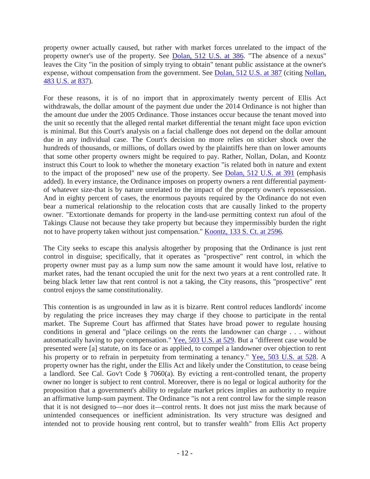property owner actually caused, but rather with market forces unrelated to the impact of the property owner's use of the property. See [Dolan, 512 U.S. at 386.](http://scholar.google.com/scholar_case?case=8551511773686011796&hl=en&as_sdt=2006&as_vis=1) "The absence of a nexus" leaves the City "in the position of simply trying to obtain" tenant public assistance at the owner's expense, without compensation from the government. See [Dolan, 512 U.S. at 387](http://scholar.google.com/scholar_case?case=8551511773686011796&hl=en&as_sdt=2006&as_vis=1) (citing [Nollan,](http://scholar.google.com/scholar_case?case=10841693014473793601&hl=en&as_sdt=2006&as_vis=1)  [483 U.S. at 837\)](http://scholar.google.com/scholar_case?case=10841693014473793601&hl=en&as_sdt=2006&as_vis=1).

For these reasons, it is of no import that in approximately twenty percent of Ellis Act withdrawals, the dollar amount of the payment due under the 2014 Ordinance is not higher than the amount due under the 2005 Ordinance. Those instances occur because the tenant moved into the unit so recently that the alleged rental market differential the tenant might face upon eviction is minimal. But this Court's analysis on a facial challenge does not depend on the dollar amount due in any individual case. The Court's decision no more relies on sticker shock over the hundreds of thousands, or millions, of dollars owed by the plaintiffs here than on lower amounts that some other property owners might be required to pay. Rather, Nollan, Dolan, and Koontz instruct this Court to look to whether the monetary exaction "is related both in nature and extent to the impact of the proposed" new use of the property. See [Dolan, 512 U.S. at 391](http://scholar.google.com/scholar_case?case=8551511773686011796&hl=en&as_sdt=2006&as_vis=1) (emphasis added). In every instance, the Ordinance imposes on property owners a rent differential paymentof whatever size-that is by nature unrelated to the impact of the property owner's repossession. And in eighty percent of cases, the enormous payouts required by the Ordinance do not even bear a numerical relationship to the relocation costs that are causally linked to the property owner. "Extortionate demands for property in the land-use permitting context run afoul of the Takings Clause not because they take property but because they impermissibly burden the right not to have property taken without just compensation." [Koontz, 133 S. Ct. at 2596.](http://scholar.google.com/scholar_case?case=7062962536363873641&hl=en&as_sdt=2006&as_vis=1)

The City seeks to escape this analysis altogether by proposing that the Ordinance is just rent control in disguise; specifically, that it operates as "prospective" rent control, in which the property owner must pay as a lump sum now the same amount it would have lost, relative to market rates, had the tenant occupied the unit for the next two years at a rent controlled rate. It being black letter law that rent control is not a taking, the City reasons, this "prospective" rent control enjoys the same constitutionality.

This contention is as ungrounded in law as it is bizarre. Rent control reduces landlords' income by regulating the price increases they may charge if they choose to participate in the rental market. The Supreme Court has affirmed that States have broad power to regulate housing conditions in general and "place ceilings on the rents the landowner can charge . . . without automatically having to pay compensation." [Yee, 503 U.S. at 529.](http://scholar.google.com/scholar_case?case=11117308571687389252&hl=en&as_sdt=2006&as_vis=1) But a "different case would be presented were [a] statute, on its face or as applied, to compel a landowner over objection to rent his property or to refrain in perpetuity from terminating a tenancy." [Yee, 503 U.S. at 528.](http://scholar.google.com/scholar_case?case=11117308571687389252&hl=en&as_sdt=2006&as_vis=1) A property owner has the right, under the Ellis Act and likely under the Constitution, to cease being a landlord. See Cal. Gov't Code § 7060(a). By evicting a rent-controlled tenant, the property owner no longer is subject to rent control. Moreover, there is no legal or logical authority for the proposition that a government's ability to regulate market prices implies an authority to require an affirmative lump-sum payment. The Ordinance "is not a rent control law for the simple reason that it is not designed to—nor does it—control rents. It does not just miss the mark because of unintended consequences or inefficient administration. Its very structure was designed and intended not to provide housing rent control, but to transfer wealth" from Ellis Act property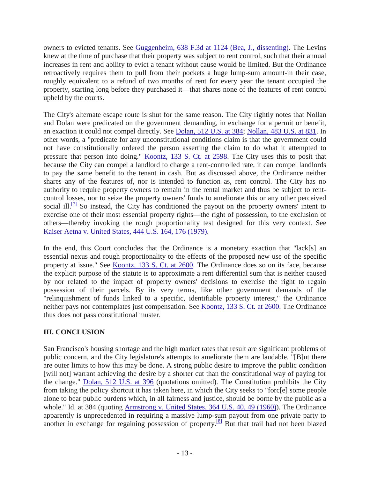owners to evicted tenants. See [Guggenheim, 638 F.3d at 1124 \(Bea, J., dissenting\).](http://scholar.google.com/scholar_case?case=9489887856683067206&hl=en&as_sdt=2006&as_vis=1) The Levins knew at the time of purchase that their property was subject to rent control, such that their annual increases in rent and ability to evict a tenant without cause would be limited. But the Ordinance retroactively requires them to pull from their pockets a huge lump-sum amount-in their case, roughly equivalent to a refund of two months of rent for every year the tenant occupied the property, starting long before they purchased it—that shares none of the features of rent control upheld by the courts.

The City's alternate escape route is shut for the same reason. The City rightly notes that Nollan and Dolan were predicated on the government demanding, in exchange for a permit or benefit, an exaction it could not compel directly. See [Dolan, 512 U.S. at 384;](http://scholar.google.com/scholar_case?case=8551511773686011796&hl=en&as_sdt=2006&as_vis=1) [Nollan, 483 U.S. at 831.](http://scholar.google.com/scholar_case?case=10841693014473793601&hl=en&as_sdt=2006&as_vis=1) In other words, a "predicate for any unconstitutional conditions claim is that the government could not have constitutionally ordered the person asserting the claim to do what it attempted to pressure that person into doing." [Koontz, 133 S. Ct. at 2598.](http://scholar.google.com/scholar_case?case=7062962536363873641&hl=en&as_sdt=2006&as_vis=1) The City uses this to posit that because the City can compel a landlord to charge a rent-controlled rate, it can compel landlords to pay the same benefit to the tenant in cash. But as discussed above, the Ordinance neither shares any of the features of, nor is intended to function as, rent control. The City has no authority to require property owners to remain in the rental market and thus be subject to rentcontrol losses, nor to seize the property owners' funds to ameliorate this or any other perceived social ill.<sup>[7]</sup> So instead, the City has conditioned the payout on the property owners' intent to exercise one of their most essential property rights—the right of possession, to the exclusion of others—thereby invoking the rough proportionality test designed for this very context. See [Kaiser Aetna v. United States, 444 U.S. 164, 176 \(1979\).](http://scholar.google.com/scholar_case?case=16160854243434985019&hl=en&as_sdt=2006&as_vis=1)

In the end, this Court concludes that the Ordinance is a monetary exaction that "lack[s] an essential nexus and rough proportionality to the effects of the proposed new use of the specific property at issue." See [Koontz, 133 S. Ct. at 2600.](http://scholar.google.com/scholar_case?case=7062962536363873641&hl=en&as_sdt=2006&as_vis=1) The Ordinance does so on its face, because the explicit purpose of the statute is to approximate a rent differential sum that is neither caused by nor related to the impact of property owners' decisions to exercise the right to regain possession of their parcels. By its very terms, like other government demands of the "relinquishment of funds linked to a specific, identifiable property interest," the Ordinance neither pays nor contemplates just compensation. See [Koontz, 133 S. Ct. at 2600.](http://scholar.google.com/scholar_case?case=7062962536363873641&hl=en&as_sdt=2006&as_vis=1) The Ordinance thus does not pass constitutional muster.

# **III. CONCLUSION**

San Francisco's housing shortage and the high market rates that result are significant problems of public concern, and the City legislature's attempts to ameliorate them are laudable. "[B]ut there are outer limits to how this may be done. A strong public desire to improve the public condition [will not] warrant achieving the desire by a shorter cut than the constitutional way of paying for the change." [Dolan, 512 U.S. at 396](http://scholar.google.com/scholar_case?case=8551511773686011796&hl=en&as_sdt=2006&as_vis=1) (quotations omitted). The Constitution prohibits the City from taking the policy shortcut it has taken here, in which the City seeks to "forc[e] some people alone to bear public burdens which, in all fairness and justice, should be borne by the public as a whole." Id. at 384 (quoting [Armstrong v. United States, 364 U.S. 40, 49 \(1960\)\)](http://scholar.google.com/scholar_case?case=13728064308425867928&hl=en&as_sdt=2006&as_vis=1). The Ordinance apparently is unprecedented in requiring a massive lump-sum payout from one private party to another in exchange for regaining possession of property.<sup>[8]</sup> But that trail had not been blazed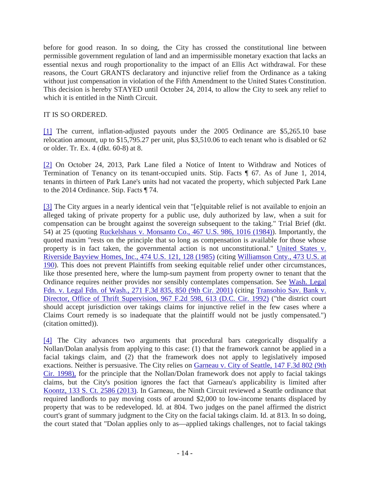before for good reason. In so doing, the City has crossed the constitutional line between permissible government regulation of land and an impermissible monetary exaction that lacks an essential nexus and rough proportionality to the impact of an Ellis Act withdrawal. For these reasons, the Court GRANTS declaratory and injunctive relief from the Ordinance as a taking without just compensation in violation of the Fifth Amendment to the United States Constitution. This decision is hereby STAYED until October 24, 2014, to allow the City to seek any relief to which it is entitled in the Ninth Circuit.

#### IT IS SO ORDERED.

[\[1\]](http://scholar.google.com/scholar_case?case=18197810633286893317&hl=en&as_sdt=6&as_vis=1&oi=scholarr#r[1]) The current, inflation-adjusted payouts under the 2005 Ordinance are \$5,265.10 base relocation amount, up to \$15,795.27 per unit, plus \$3,510.06 to each tenant who is disabled or 62 or older. Tr. Ex. 4 (dkt. 60-8) at 8.

[\[2\]](http://scholar.google.com/scholar_case?case=18197810633286893317&hl=en&as_sdt=6&as_vis=1&oi=scholarr#r[2]) On October 24, 2013, Park Lane filed a Notice of Intent to Withdraw and Notices of Termination of Tenancy on its tenant-occupied units. Stip. Facts ¶ 67. As of June 1, 2014, tenants in thirteen of Park Lane's units had not vacated the property, which subjected Park Lane to the 2014 Ordinance. Stip. Facts ¶ 74.

[\[3\]](http://scholar.google.com/scholar_case?case=18197810633286893317&hl=en&as_sdt=6&as_vis=1&oi=scholarr#r[3]) The City argues in a nearly identical vein that "[e]quitable relief is not available to enjoin an alleged taking of private property for a public use, duly authorized by law, when a suit for compensation can be brought against the sovereign subsequent to the taking." Trial Brief (dkt. 54) at 25 (quoting [Ruckelshaus v. Monsanto Co., 467 U.S. 986, 1016 \(1984\)\)](http://scholar.google.com/scholar_case?case=4542458969053697124&hl=en&as_sdt=2006&as_vis=1). Importantly, the quoted maxim "rests on the principle that so long as compensation is available for those whose property is in fact taken, the governmental action is not unconstitutional." [United States v.](http://scholar.google.com/scholar_case?case=17385012200260415046&hl=en&as_sdt=2006&as_vis=1)  [Riverside Bayview Homes, Inc., 474 U.S. 121, 128 \(1985\)](http://scholar.google.com/scholar_case?case=17385012200260415046&hl=en&as_sdt=2006&as_vis=1) (citing [Williamson Cnty., 473 U.S. at](http://scholar.google.com/scholar_case?case=13419993688733265381&hl=en&as_sdt=2006&as_vis=1)  [190\)](http://scholar.google.com/scholar_case?case=13419993688733265381&hl=en&as_sdt=2006&as_vis=1). This does not prevent Plaintiffs from seeking equitable relief under other circumstances, like those presented here, where the lump-sum payment from property owner to tenant that the Ordinance requires neither provides nor sensibly contemplates compensation. See [Wash. Legal](http://scholar.google.com/scholar_case?case=7837393888478470748&hl=en&as_sdt=2006&as_vis=1)  [Fdn. v. Legal Fdn. of Wash., 271 F.3d 835, 850 \(9th Cir. 2001\)](http://scholar.google.com/scholar_case?case=7837393888478470748&hl=en&as_sdt=2006&as_vis=1) (citing [Transohio Sav. Bank v.](http://scholar.google.com/scholar_case?case=3997051848755510837&hl=en&as_sdt=2006&as_vis=1)  [Director, Office of Thrift Supervision, 967 F.2d 598, 613 \(D.C. Cir. 1992\)](http://scholar.google.com/scholar_case?case=3997051848755510837&hl=en&as_sdt=2006&as_vis=1) ("the district court should accept jurisdiction over takings claims for injunctive relief in the few cases where a Claims Court remedy is so inadequate that the plaintiff would not be justly compensated.") (citation omitted)).

[\[4\]](http://scholar.google.com/scholar_case?case=18197810633286893317&hl=en&as_sdt=6&as_vis=1&oi=scholarr#r[4]) The City advances two arguments that procedural bars categorically disqualify a Nollan/Dolan analysis from applying to this case: (1) that the framework cannot be applied in a facial takings claim, and (2) that the framework does not apply to legislatively imposed exactions. Neither is persuasive. The City relies on [Garneau v. City of Seattle, 147 F.3d 802 \(9th](http://scholar.google.com/scholar_case?case=7617825037225068637&hl=en&as_sdt=2006&as_vis=1)  [Cir. 1998\),](http://scholar.google.com/scholar_case?case=7617825037225068637&hl=en&as_sdt=2006&as_vis=1) for the principle that the Nollan/Dolan framework does not apply to facial takings claims, but the City's position ignores the fact that Garneau's applicability is limited after [Koontz, 133 S. Ct. 2586 \(2013\).](http://scholar.google.com/scholar_case?case=7062962536363873641&hl=en&as_sdt=2006&as_vis=1) In Garneau, the Ninth Circuit reviewed a Seattle ordinance that required landlords to pay moving costs of around \$2,000 to low-income tenants displaced by property that was to be redeveloped. Id. at 804. Two judges on the panel affirmed the district court's grant of summary judgment to the City on the facial takings claim. Id. at 813. In so doing, the court stated that "Dolan applies only to as—applied takings challenges, not to facial takings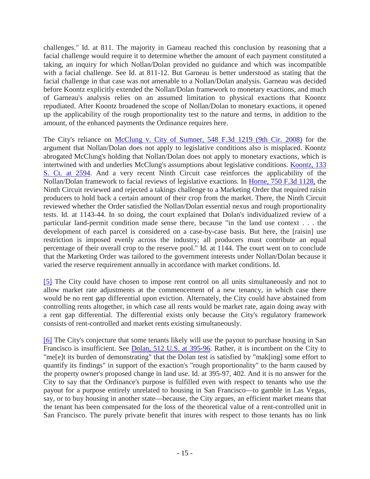challenges." Id. at 811. The majority in Garneau reached this conclusion by reasoning that a facial challenge would require it to determine whether the amount of each payment constituted a taking, an inquiry for which Nollan/Dolan provided no guidance and which was incompatible with a facial challenge. See Id. at 811-12. But Garneau is better understood as stating that the facial challenge in that case was not amenable to a Nollan/Dolan analysis. Garneau was decided before Koontz explicitly extended the Nollan/Dolan framework to monetary exactions, and much of Garneau's analysis relies on an assumed limitation to physical exactions that Koontz repudiated. After Koontz broadened the scope of Nollan/Dolan to monetary exactions, it opened up the applicability of the rough proportionality test to the nature and terms, in addition to the amount, of the enhanced payments the Ordinance requires here.

The City's reliance on [McClung v. City of Sumner, 548 F.3d 1219 \(9th Cir. 2008\)](http://scholar.google.com/scholar_case?case=10711523959386447334&hl=en&as_sdt=2006&as_vis=1) for the argument that Nollan/Dolan does not apply to legislative conditions also is misplaced. Koontz abrogated McClung's holding that Nollan/Dolan does not apply to monetary exactions, which is intertwined with and underlies McClung's assumptions about legislative conditions. [Koontz, 133](http://scholar.google.com/scholar_case?case=7062962536363873641&hl=en&as_sdt=2006&as_vis=1)  [S. Ct. at 2594.](http://scholar.google.com/scholar_case?case=7062962536363873641&hl=en&as_sdt=2006&as_vis=1) And a very recent Ninth Circuit case reinforces the applicability of the Nollan/Dolan framework to facial reviews of legislative exactions. In [Horne, 750 F.3d 1128,](http://scholar.google.com/scholar_case?case=1727581745917629963&hl=en&as_sdt=2006&as_vis=1) the Ninth Circuit reviewed and rejected a takings challenge to a Marketing Order that required raisin producers to hold back a certain amount of their crop from the market. There, the Ninth Circuit reviewed whether the Order satisfied the Nollan/Dolan essential nexus and rough proportionality tests. Id. at 1143-44. In so doing, the court explained that Dolan's individualized review of a particular land-permit condition made sense there, because "in the land use context . . . the development of each parcel is considered on a case-by-case basis. But here, the [raisin] use restriction is imposed evenly across the industry; all producers must contribute an equal percentage of their overall crop to the reserve pool." Id. at 1144. The court went on to conclude that the Marketing Order was tailored to the government interests under Nollan/Dolan because it varied the reserve requirement annually in accordance with market conditions. Id.

[\[5\]](http://scholar.google.com/scholar_case?case=18197810633286893317&hl=en&as_sdt=6&as_vis=1&oi=scholarr#r[5]) The City could have chosen to impose rent control on all units simultaneously and not to allow market rate adjustments at the commencement of a new tenancy, in which case there would be no rent gap differential upon eviction. Alternately, the City could have abstained from controlling rents altogether, in which case all rents would be market rate, again doing away with a rent gap differential. The differential exists only because the City's regulatory framework consists of rent-controlled and market rents existing simultaneously.

[\[6\]](http://scholar.google.com/scholar_case?case=18197810633286893317&hl=en&as_sdt=6&as_vis=1&oi=scholarr#r[6]) The City's conjecture that some tenants likely will use the payout to purchase housing in San Francisco is insufficient. See [Dolan, 512 U.S. at 395-96.](http://scholar.google.com/scholar_case?case=8551511773686011796&hl=en&as_sdt=2006&as_vis=1) Rather, it is incumbent on the City to "me[e]t its burden of demonstrating" that the Dolan test is satisfied by "mak[ing] some effort to quantify its findings" in support of the exaction's "rough proportionality" to the harm caused by the property owner's proposed change in land use. Id. at 395-97, 402. And it is no answer for the City to say that the Ordinance's purpose is fulfilled even with respect to tenants who use the payout for a purpose entirely unrelated to housing in San Francisco—to gamble in Las Vegas, say, or to buy housing in another state—because, the City argues, an efficient market means that the tenant has been compensated for the loss of the theoretical value of a rent-controlled unit in San Francisco. The purely private benefit that inures with respect to those tenants has no link